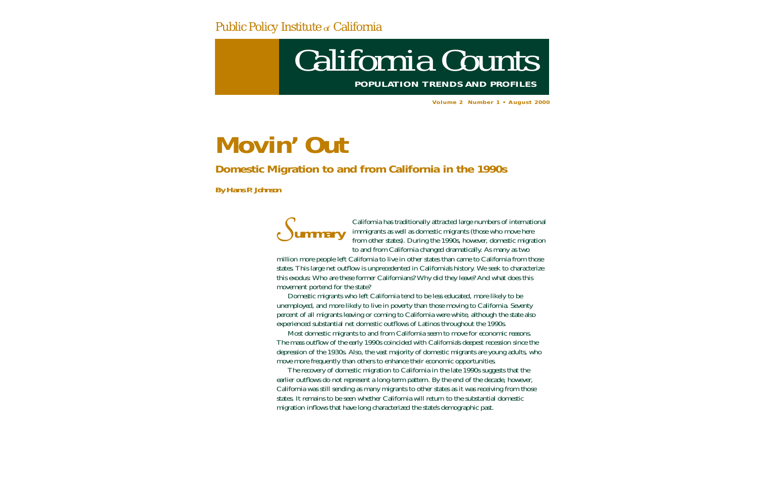### Public Policy Institute *of* California

# *California Counts* **POPULATION TRENDS AND PROFILES**

**Volume 2 Number 1 • August 2000**

# **Movin' Out**

### *Domestic Migration to and from California in the 1990s*

*By Hans P. Johnson*



California has traditionally attracted large numbers of international immigrants as well as domestic migrants (those who move here from other states). During the 1990s, however, domestic migration to and from California changed dramatically. As many as two

million more people left California to live in other states than came to California from those states. This large net outflow is unprecedented in California's history. We seek to characterize this exodus: Who are these former Californians? Why did they leave? And what does this movement portend for the state?

Domestic migrants who left California tend to be less educated, more likely to be unemployed, and more likely to live in poverty than those moving to California. Seventy percent of all migrants leaving or coming to California were white, although the state also experienced substantial net domestic outflows of Latinos throughout the 1990s.

Most domestic migrants to and from California seem to move for economic reasons. The mass outflow of the early 1990s coincided with California's deepest recession since the depression of the 1930s. Also, the vast majority of domestic migrants are young adults, who move more frequently than others to enhance their economic opportunities.

The recovery of domestic migration to California in the late 1990s suggests that the earlier outflows do not represent a long-term pattern. By the end of the decade, however, California was still sending as many migrants to other states as it was receiving from those states. It remains to be seen whether California will return to the substantial domestic migration inflows that have long characterized the state's demographic past.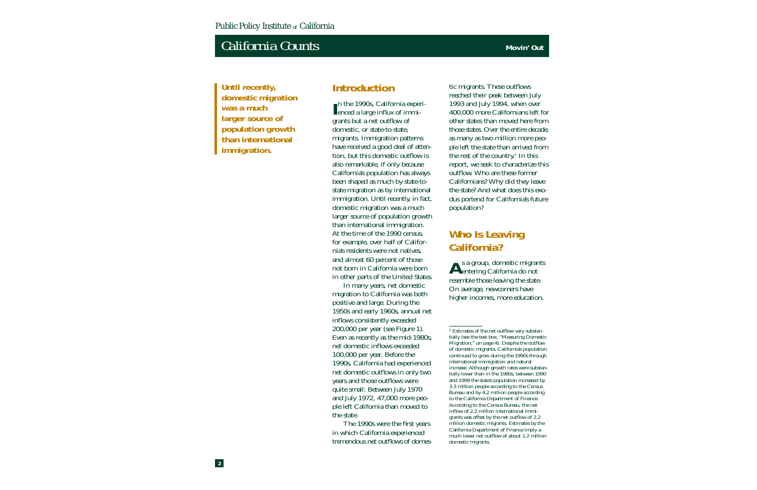**Until recently, domestic migration was a much larger source of population growth than international immigration.**

#### **Introduction**

In the 1990s, California experi-<br>
enced a large influx of immigrants but a net outflow of domestic, or state-to-state, migrants. Immigration patterns have received a good deal of attention, but this domestic outflow is also remarkable, if only because California's population has always been shaped as much by state-tostate migration as by international immigration. Until recently, in fact, domestic migration was a much larger source of population growth than international immigration. At the time of the 1990 census, for example, over half of California's residents were not natives, and almost 60 percent of those not born in California were born in other parts of the United States.

In many years, net domestic migration to California was both positive and large. During the 1950s and early 1960s, annual net inflows consistently exceeded 200,000 per year (see Figure 1). Even as recently as the mid-1980s, net domestic inflows exceeded 100,000 per year. Before the 1990s, California had experienced net domestic outflows in only two years and those outflows were quite small: Between July 1970 and July 1972, 47,000 more people left California than moved to the state.

The 1990s were the first years in which California experienced tremendous net outflows of domestic migrants. These outflows reached their peak between July 1993 and July 1994, when over 400,000 more Californians left for other states than moved here from those states. Over the entire decade, as many as two million more peo ple left the state than arrived from the rest of the country.<sup>1</sup> In this report, we seek to characterize this outflow. Who are these former Californians? Why did they leave the state? And what does this exo dus portend for California's future population?

# **Who Is Leaving<br>California?**

As a group, domestic migrants<br>
entering California do not resemble those leaving the state. On average, newcomers have higher incomes, more education,

<sup>1</sup> Estimates of the net outflow vary substantially (see the text box, "Measuring Domestic Migration," on page 4). Despite the outflow of domestic migrants, California's population continued to grow during the 1990s through international immigration and natural increase. Although growth rates were substantially lower than in the 1980s, between 1990 and 1999 the state's population increased by 3.3 million people according to the Census Bureau and by 4.2 million people according to the California Department of Finance. According to the Census Bureau, the net inflow of 2.2 million international immigrants was offset by the net outflow of 2.2 million domestic migrants. Estimates by the California Department of Finance imply a much lower net outflow of about 1.2 million domestic migrants.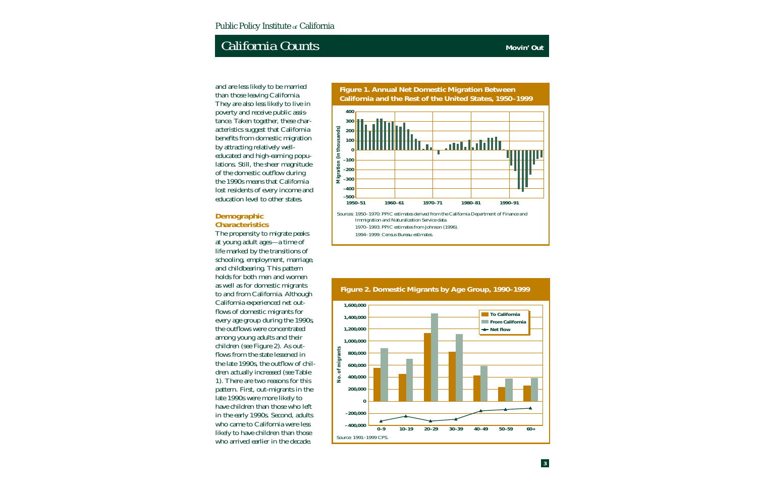and are less likely to be married than those leaving California. They are also less likely to live in poverty and receive public assistance. Taken together, these characteristics suggest that California benefits from domestic migration by attracting relatively welleducated and high-earning populations. Still, the sheer magnitude of the domestic outflow during the 1990s means that California lost residents of every income and education level to other states.

#### **Demographic Characteristics**

The propensity to migrate peaks at young adult ages—a time of life marked by the transitions of schooling, employment, marriage, and childbearing. This pattern holds for both men and women as well as for domestic migrants to and from California. Although California experienced net outflows of domestic migrants for every age group during the 1990s, the outflows were concentrated among young adults and their children (see Figure 2). As outflows from the state lessened in the late 1990s, the outflow of children actually increased (see Table 1). There are two reasons for this pattern. First, out-migrants in the late 1990s were more likely to have children than those who left in the early 1990s. Second, adults who came to California were less likely to have children than those who arrived earlier in the decade.

**California and the Rest of the United States, 1950–1999 400 300** Migration (in thousands) **Migration (in thousands) 200 100** <u>andalah</u> **0 –100 –200 –300 –400 –500 1950–51 1960–61 1970–71 1980–81 1990–91** Sources: 1950–1970: PPIC estimates derived from the California Department of Finance and Immigration and Naturalization Service data. 1970–1993: PPIC estimates from Johnson (1996). 1994–1999: Census Bureau estimates.

**Figure 1. Annual Net Domestic Migration Between** 



#### **Figure 2. Domestic Migrants by Age Group, 1990–1999**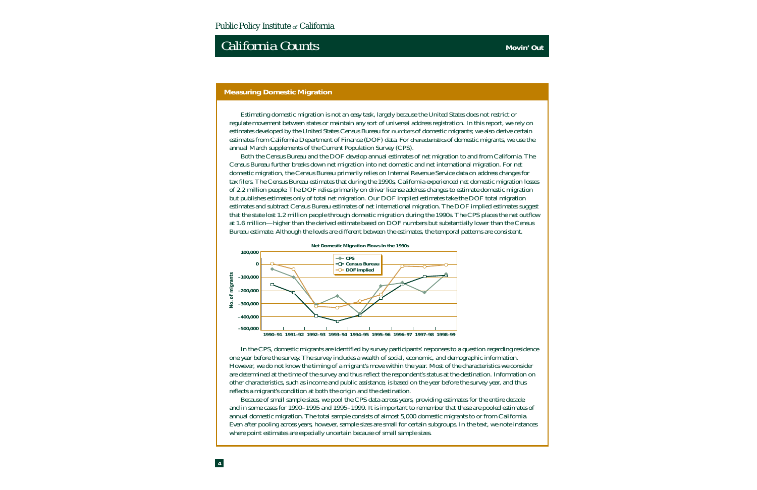#### **Measuring Domestic Migration**

Estimating domestic migration is not an easy task, largely because the United States does not restrict or regulate movement between states or maintain any sort of universal address registration. In this report, we rely on estimates developed by the United States Census Bureau for *numbers* of domestic migrants; we also derive certain estimates from California Department of Finance (DOF) data. For *characteristics* of domestic migrants, we use the annual March supplements of the Current Population Survey (CPS).

Both the Census Bureau and the DOF develop annual estimates of net migration to and from California. The Census Bureau further breaks down net migration into net domestic and net international migration. For net domestic migration, the Census Bureau primarily relies on Internal Revenue Service data on address changes for tax filers. The Census Bureau estimates that during the 1990s, California experienced net domestic migration losses of 2.2 million people. The DOF relies primarily on driver license address changes to estimate domestic migration but publishes estimates only of total net migration. Our DOF implied estimates take the DOF total migration estimates and subtract Census Bureau estimates of net international migration. The DOF implied estimates suggest that the state lost 1.2 million people through domestic migration during the 1990s. The CPS places the net outflow at 1.6 million—higher than the derived estimate based on DOF numbers but substantially lower than the Census Bureau estimate. Although the levels are different between the estimates, the temporal patterns are consistent.



In the CPS, domestic migrants are identified by survey participants' responses to a question regarding residence one year before the survey. The survey includes a wealth of social, economic, and demographic information. However, we do not know the timing of a migrant's move within the year. Most of the characteristics we consider are determined at the time of the survey and thus reflect the respondent's status at the destination. Information on other characteristics, such as income and public assistance, is based on the year before the survey year, and thus reflects a migrant's condition at both the origin and the destination.

Because of small sample sizes, we pool the CPS data across years, providing estimates for the entire decade and in some cases for 1990–1995 and 1995 –1999. It is important to remember that these are pooled estimates of annual domestic migration. The total sample consists of almost 5,000 domestic migrants to or from California. Even after pooling across years, however, sample sizes are small for certain subgroups. In the text, we note instances where point estimates are especially uncertain because of small sample sizes.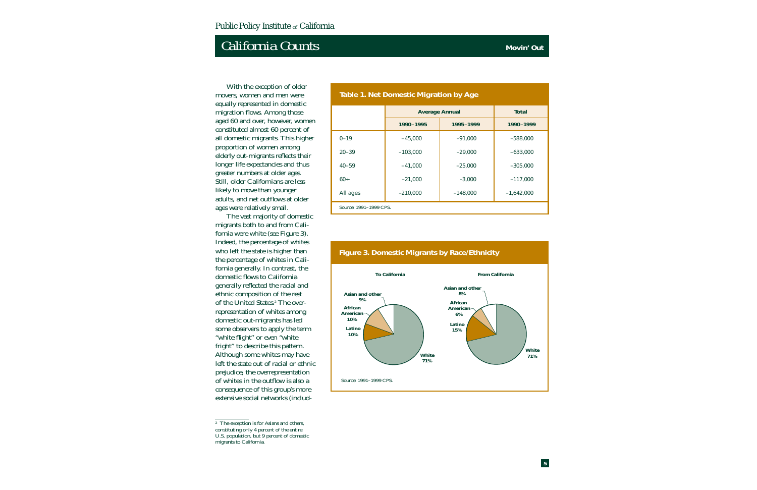With the exception of older movers, women and men were equally represented in domestic migration flows. Among those aged 60 and over, however, women constituted almost 60 percent of all domestic migrants. This higher proportion of women among elderly out-migrants reflects their longer life expectancies and thus greater numbers at older ages. Still, older Californians are less likely to move than younger adults, and net outflows at older ages were relatively small.

The vast majority of domestic migrants both to and from California were white (see Figure 3). Indeed, the percentage of whites who left the state is higher than the percentage of whites in California generally. In contrast, the domestic flows to California generally reflected the racial and ethnic composition of the rest of the United States.2 The overrepresentation of whites among domestic out-migrants has led some observers to apply the term "white flight" or even "white fright" to describe this pattern. Although some whites may have left the state out of racial or ethnic prejudice, the overrepresentation of whites in the outflow is also a consequence of this group's more extensive social networks (includ-

|                        | <b>Average Annual</b>  | <b>Total</b> |              |  |
|------------------------|------------------------|--------------|--------------|--|
|                        | 1990-1995<br>1995-1999 |              | 1990-1999    |  |
| $0 - 19$               | $-45,000$              | $-91,000$    | $-588,000$   |  |
| $20 - 39$              | $-103,000$             | $-29,000$    | $-633,000$   |  |
| $40 - 59$              | $-41,000$              | $-25,000$    | $-305,000$   |  |
| $60+$                  | $-21,000$              | $-3,000$     | $-117,000$   |  |
| All ages               | $-210,000$             | $-148,000$   | $-1,642,000$ |  |
| Source: 1991-1999 CPS. |                        |              |              |  |

**Table 1. Net Domestic Migration by Age**



### **Figure 3. Domestic Migrants by Race/Ethnicity**

<sup>2</sup> The exception is for Asians and others, constituting only 4 percent of the entire U.S. population, but 9 percent of domestic migrants to California.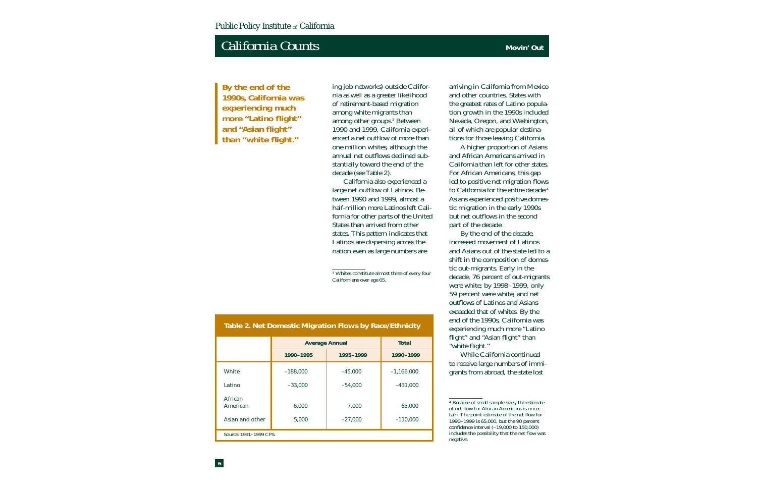**By the end of the 1990s, California was experiencing much more "Latino flight" and "Asian flight" than "white flight."**

ing job networks) outside California as well as a greater likelihood of retirement-based migration among white migrants than among other groups.3 Between 1990 and 1999, California experienced a net outflow of more than one million whites, although the annual net outflows declined substantially toward the end of the decade (see Table 2).

California also experienced a large net outflow of Latinos. Between 1990 and 1999, almost a half-million more Latinos left California for other parts of the United States than arrived from other states. This pattern indicates that Latinos are dispersing across the nation even as large numbers are

<sup>3</sup> Whites constitute almost three of every four Californians over age 65.

**Average Annual in the Total development of Total** 

arriving in California from Mexico and other countries. States with the greatest rates of Latino population growth in the 1990s included Nevada, Oregon, and Washington, all of which are popular destinations for those leaving California.

A higher proportion of Asians and African Americans arrived in California than left for other states. For African Americans, this gap led to positive net migration flows to California for the entire decade.<sup>4</sup> Asians experienced positive domestic migration in the early 1990s but net outflows in the second part of the decade.

By the end of the decade, increased movement of Latinos and Asians out of the state led to a shift in the composition of domestic out-migrants. Early in the decade, 76 percent of out-migrants were white; by 1998–1999, only 59 percent were white, and net outflows of Latinos and Asians exceeded that of whites. By the end of the 1990s, California was experiencing much more "Latino flight" and "Asian flight" than "white flight."

While California continued to receive large numbers of immigrants from abroad, the state lost

#### **Table 2. Net Domestic Migration Flows by Race/Ethnicity**

|                                        | 1990-1995      | 1995-1999          | 1990-1999            |  |
|----------------------------------------|----------------|--------------------|----------------------|--|
| White                                  | $-188,000$     | $-45,000$          | $-1,166,000$         |  |
| Latino                                 | $-33,000$      | $-54,000$          | $-431,000$           |  |
| African<br>American<br>Asian and other | 6,000<br>5,000 | 7,000<br>$-27,000$ | 65,000<br>$-110,000$ |  |
| Source: 1991-1999 CPS.                 |                |                    |                      |  |

<sup>4</sup> Because of small sample sizes, the estimate of net flow for African Americans is uncertain. The point estimate of the net flow for 1990–1999 is 65,000, but the 90 percent confidence interval (–19,000 to 150,000) includes the possibility that the net flow was negative.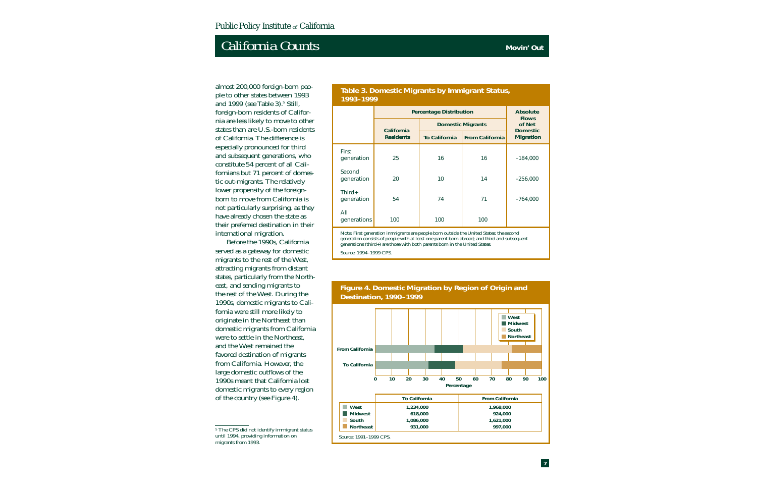almost 200,000 foreign-born people to other states between 1993 and 1999 (see Table 3).<sup>5</sup> Still, foreign-born residents of California are less likely to move to other states than are U.S.-born residents of California. The difference is especially pronounced for third and subsequent generations, who constitute 54 percent of all Californians but 71 percent of domestic out-migrants. The relatively lower propensity of the foreignborn to move from California is not particularly surprising, as they have already chosen the state as their preferred destination in their international migration.

Before the 1990s, California served as a gateway for domestic migrants to the rest of the West, attracting migrants from distant states, particularly from the Northeast, and sending migrants to the rest of the West. During the 1990s, domestic migrants to California were still more likely to originate in the Northeast than domestic migrants from California were to settle in the Northeast, and the West remained the favored destination of migrants from California. However, the large domestic outflows of the 1990s meant that California lost domestic migrants to every region of the country (see Figure 4).

#### **Table 3. Domestic Migrants by Immigrant Status, 1993–1999**

|                                                                                                                                                                      | <b>Percentage Distribution</b> | <b>Absolute</b><br><b>Flows</b> |                          |                           |  |
|----------------------------------------------------------------------------------------------------------------------------------------------------------------------|--------------------------------|---------------------------------|--------------------------|---------------------------|--|
|                                                                                                                                                                      | California                     |                                 | <b>Domestic Migrants</b> | of Net<br><b>Domestic</b> |  |
|                                                                                                                                                                      | <b>Residents</b>               | <b>To California</b>            | <b>From California</b>   | <b>Migration</b>          |  |
| First<br>generation                                                                                                                                                  | 25                             | 16                              | 16                       | $-184,000$                |  |
| Second<br>generation                                                                                                                                                 | 20                             | 10                              | 14                       | $-256,000$                |  |
| $Third+$<br>generation                                                                                                                                               | 54                             | 74                              | 71                       | $-764,000$                |  |
| All<br>generations                                                                                                                                                   | 100                            | 100                             | 100                      |                           |  |
| Note: First generation immigrants are people born outside the United States; the second<br>the parameter of property of the three parameters and third and eubeniust |                                |                                 |                          |                           |  |

eneration consists of people with at least one parent born abroad; and third and subse generations (third+) are those with both parents born in the United States.

Source: 1994–1999 CPS.



#### **Figure 4. Domestic Migration by Region of Origin and Destination, 1990–1999**

<sup>5</sup> The CPS did not identify immigrant status until 1994, providing information on migrants from 1993.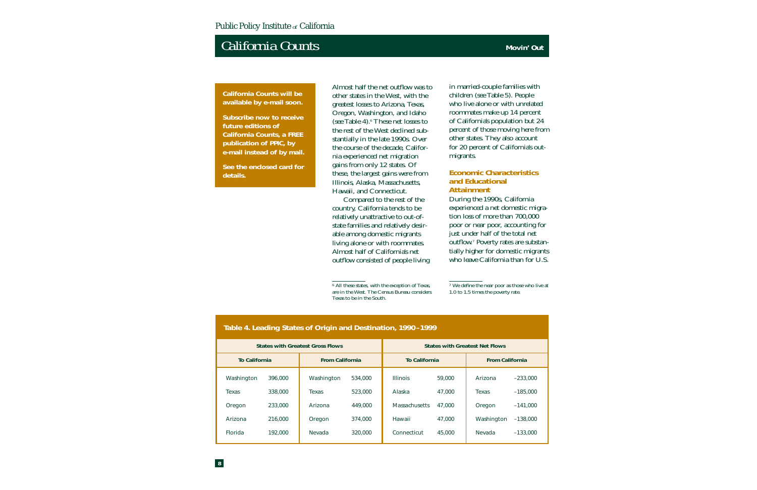*California Counts* **will be available by e-mail soon.** 

**Subscribe now to receive future editions of**  *California Counts***, a FREE publication of PPIC, by e-mail instead of by mail.** 

**See the enclosed card for details.**

Almost half the net outflow was to other states in the West, with the greatest losses to Arizona, Texas, Oregon, Washington, and Idaho (see Table 4).6 These net losses to the rest of the West declined substantially in the late 1990s. Over the course of the decade, California experienced net migration gains from only 12 states. Of these, the largest gains were from Illinois, Alaska, Massachusetts, Hawaii, and Connecticut.

Compared to the rest of the country, California tends to be relatively unattractive to out-ofstate families and relatively desirable among domestic migrants living alone or with roommates. Almost half of California's net outflow consisted of people living in married-couple families with children (see Table 5). People who live alone or with unrelated roommates make up 14 percent of California's population but 24 percent of those moving here from other states. They also account for 20 percent of California's outmigrants.

#### **Economic Characteristics and Educational Attainment**

During the 1990s, California experienced a net domestic migration loss of more than 700,000 poor or near poor, accounting for just under half of the total net outflow.7 Poverty rates are substantially higher for domestic migrants who leave California than for U.S.

| Table 4. Leading States of Origin and Destination, 1990–1999 |         |                        |                                       |                                                |        |            |            |
|--------------------------------------------------------------|---------|------------------------|---------------------------------------|------------------------------------------------|--------|------------|------------|
| <b>States with Greatest Gross Flows</b>                      |         |                        | <b>States with Greatest Net Flows</b> |                                                |        |            |            |
| <b>To California</b>                                         |         | <b>From California</b> |                                       | <b>To California</b><br><b>From California</b> |        |            |            |
| Washington                                                   | 396,000 | Washington             | 534,000                               | <b>Illinois</b>                                | 59,000 | Arizona    | $-233,000$ |
| Texas                                                        | 338,000 | Texas                  | 523,000                               | Alaska                                         | 47,000 | Texas      | $-185,000$ |
| Oregon                                                       | 233,000 | Arizona                | 449,000                               | <b>Massachusetts</b>                           | 47,000 | Oregon     | $-141,000$ |
| Arizona                                                      | 216,000 | Oregon                 | 374,000                               | Hawaii                                         | 47,000 | Washington | $-138,000$ |
| <b>Florida</b>                                               | 192,000 | Nevada                 | 320,000                               | Connecticut                                    | 45,000 | Nevada     | $-133,000$ |

<sup>6</sup> All these states, with the exception of Texas, are in the West. The Census Bureau considers Texas to be in the South.

<sup>7</sup> We define the near poor as those who live at 1.0 to 1.5 times the poverty rate.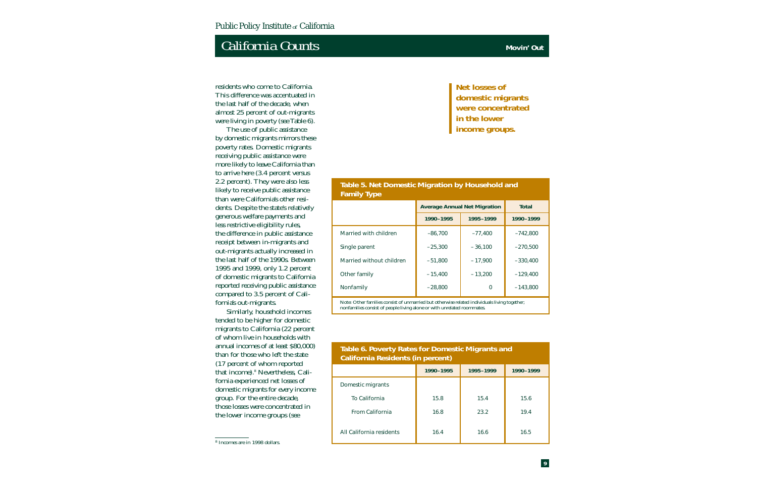# **California Counts Counts Counts Counts Movin' Out**

residents who come to California. This difference was accentuated in the last half of the decade, when almost 25 percent of out-migrants were living in poverty (see Table 6).

The use of public assistance by domestic migrants mirrors these poverty rates. Domestic migrants receiving public assistance were more likely to leave California than to arrive here (3.4 percent versus 2.2 percent). They were also less likely to receive public assistance than were California's other residents. Despite the state's relatively generous welfare payments and less restrictive eligibility rules, the difference in public assistance receipt between in-migrants and out-migrants actually increased in the last half of the 1990s. Between 1995 and 1999, only 1.2 percent of domestic migrants to California reported receiving public assistance compared to 3.5 percent of California's out-migrants.

Similarly, household incomes tended to be higher for domestic migrants to California (22 percent of whom live in households with annual incomes of at least \$80,000) than for those who left the state (17 percent of whom reported that income).8 Nevertheless, California experienced net losses of domestic migrants for every income group. For the entire decade, those losses were concentrated in the lower income groups (see

**Net losses of domestic migrants were concentrated in the lower income groups.**

#### **Table 5. Net Domestic Migration by Household and Family Type**

|                          | <b>Average Annual Net Migration</b> | <b>Total</b> |            |
|--------------------------|-------------------------------------|--------------|------------|
|                          | 1990-1995                           | 1995-1999    | 1990-1999  |
| Married with children    | $-86.700$                           | $-77,400$    | $-742.800$ |
| Single parent            | $-25,300$                           | $-36,100$    | $-270,500$ |
| Married without children | $-51,800$                           | $-17,900$    | $-330,400$ |
| Other family             | $-15,400$                           | $-13,200$    | $-129,400$ |
| Nonfamily                | $-28,800$                           | 0            | $-143,800$ |

Note: Other families consist of unmarried but otherwise related individuals living together; nonfamilies consist of people living alone or with unrelated roommates.

#### **Table 6. Poverty Rates for Domestic Migrants and California Residents (in percent)**

|                          | 1990-1995 | 1995-1999 | 1990-1999 |  |  |
|--------------------------|-----------|-----------|-----------|--|--|
| Domestic migrants        |           |           |           |  |  |
| To California            | 15.8      | 15.4      | 15.6      |  |  |
| From California          | 16.8      | 23.2      | 19.4      |  |  |
| All California residents | 16.4      | 16.6      | 16.5      |  |  |

<sup>8</sup> Incomes are in 1998 dollars.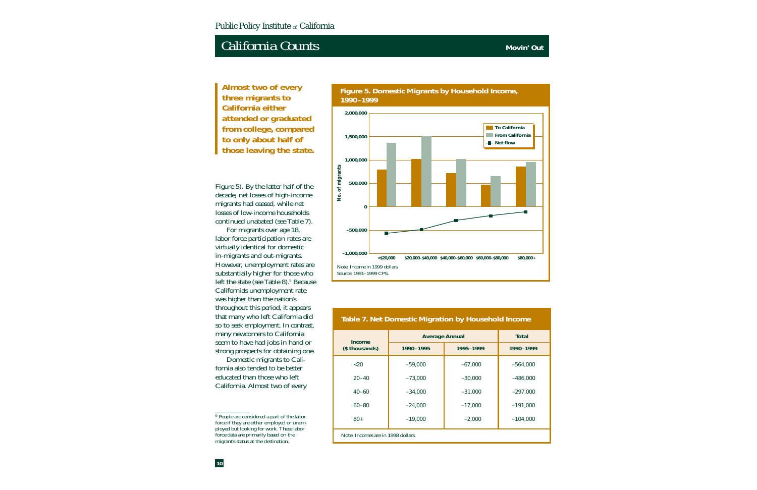**Almost two of every three migrants to California either attended or graduated from college, compared to only about half of those leaving the state.**

Figure 5). By the latter half of the decade, net losses of high-income migrants had ceased, while net losses of low-income households continued unabated (see Table 7).

For migrants over age 18, labor force participation rates are virtually identical for domestic in-migrants and out-migrants. However, unemployment rates are substantially higher for those who left the state (see Table 8).<sup>9</sup> Because California's unemployment rate was higher than the nation's throughout this period, it appears that many who left California did so to seek employment. In contrast, many newcomers to California seem to have had jobs in hand or strong prospects for obtaining one.

Domestic migrants to California also tended to be better educated than those who left California. Almost two of every





#### **Table 7. Net Domestic Migration by Household Income**

| Income                             | <b>Average Annual</b>  | <b>Total</b> |            |  |
|------------------------------------|------------------------|--------------|------------|--|
| (\$ thousands)                     | 1990-1995<br>1995-1999 |              | 1990-1999  |  |
| $<$ 20                             | $-59,000$              | $-67,000$    | $-564,000$ |  |
| $20 - 40$                          | $-73,000$              | $-30,000$    | $-486,000$ |  |
| $40 - 60$                          | $-34,000$              | $-31,000$    | $-297,000$ |  |
| $60 - 80$                          | $-24,000$              | $-17,000$    | $-191,000$ |  |
| $80+$                              | $-19,000$              | $-2,000$     | $-104,000$ |  |
| Note: Incomes are in 1998 dollars. |                        |              |            |  |

<sup>9</sup> People are considered a part of the labor force if they are either employed or unemployed but looking for work. These labor force data are primarily based on the migrant's status at the destination.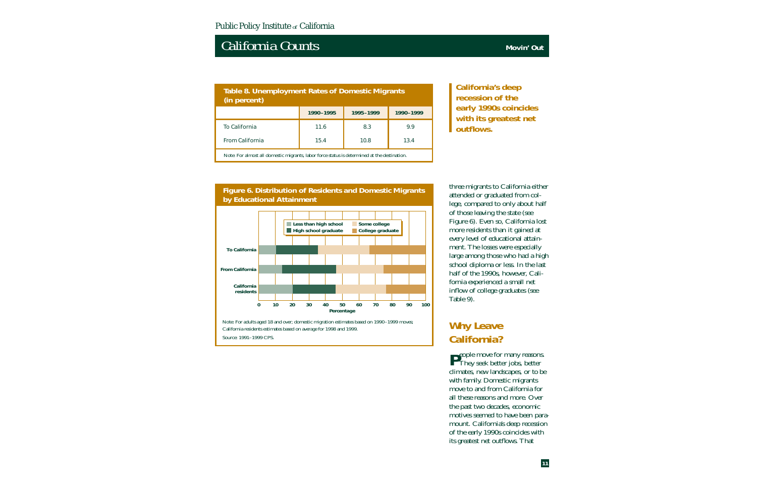### **Table 8. Unemployment Rates of Domestic Migrants (in percent)** To California **11.6 8.3** 9.9 From California 15.4 10.8 13.4 **1990–1995 1995–1999 1990–1999** Note: For almost all domestic migrants, labor force status is determined at the destination.

**California's deep recession of the early 1990s coincides with its greatest net outflows.**

#### **Figure 6. Distribution of Residents and Domestic Migrants by Educational Attainment**



Source: 1991–1999 CPS.

three migrants to California either attended or graduated from college, compared to only about half of those leaving the state (see Figure 6). Even so, California lost more residents than it gained at every level of educational attainment. The losses were especially large among those who had a high school diploma or less. In the last half of the 1990s, however, California experienced a small net inflow of college graduates (see Table 9).

### **Why Leave California?**

**P**eople move for many reasons.<br>They seek better jobs, better climates, new landscapes, or to be with family. Domestic migrants move to and from California for all these reasons and more. Over the past two decades, economic motives seemed to have been paramount. California's deep recession of the early 1990s coincides with its greatest net outflows. That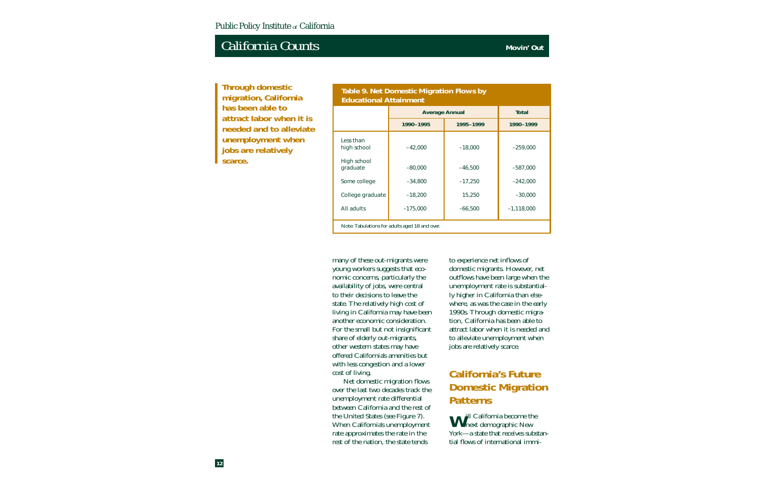**Through domestic migration, California has been able to attract labor when it is needed and to alleviate unemployment when jobs are relatively scarce.**

#### **Table 9. Net Domestic Migration Flows by Educational Attainment**

|                                                | <b>Average Annual</b>  | <b>Total</b> |              |  |
|------------------------------------------------|------------------------|--------------|--------------|--|
|                                                | 1990-1995<br>1995-1999 |              | 1990-1999    |  |
| Less than<br>high school                       | $-42,000$              | $-18,000$    | $-259,000$   |  |
| High school<br>graduate                        | $-80,000$              | $-46,500$    | $-587,000$   |  |
| Some college                                   | $-34,800$              | $-17,250$    | $-242,000$   |  |
| College graduate                               | $-18,200$              | 15,250       | $-30,000$    |  |
| All adults                                     | $-175,000$             | $-66,500$    | $-1,118,000$ |  |
| Note: Tabulations for adults aged 18 and over. |                        |              |              |  |

many of these out-migrants were young workers suggests that economic concerns, particularly the availability of jobs, were central to their decisions to leave the state. The relatively high cost of living in California may have been another economic consideration. For the small but not insignificant share of elderly out-migrants, other western states may have offered California's amenities but with less congestion and a lower cost of living.

Net domestic migration flows over the last two decades track the unemployment rate differential between California and the rest of the United States (see Figure 7). When California's unemployment rate approximates the rate in the rest of the nation, the state tends

to experience net inflows of domestic migrants. However, net outflows have been large when the unemployment rate is substantially higher in California than elsewhere, as was the case in the early 1990s. Through domestic migration, California has been able to attract labor when it is needed and to alleviate unemployment when jobs are relatively scarce.

### **California's Future Domestic Migration Patterns**

**W**<sup>ill</sup> California become the next demographic New York—a state that receives substantial flows of international immi-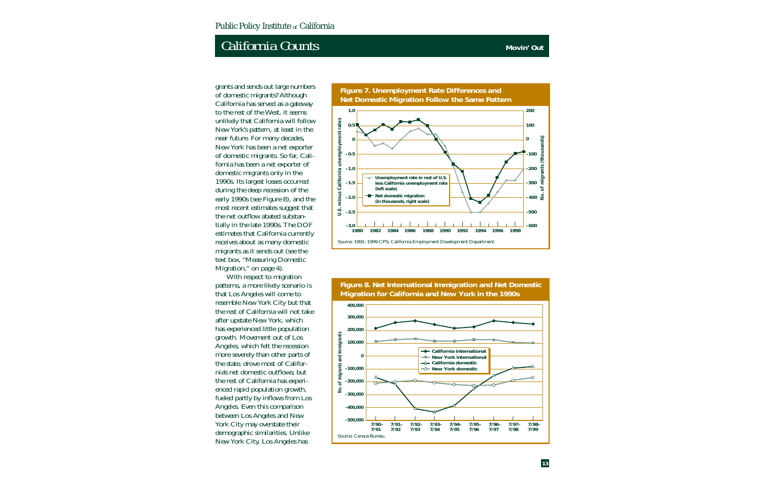grants and sends out large numbers of domestic migrants? Although California has served as a gateway to the rest of the West, it seems unlikely that California will follow New York's pattern, at least in the near future. For many decades, New York has been a net exporter of domestic migrants. So far, California has been a net exporter of domestic migrants only in the 1990s. Its largest losses occurred during the deep recession of the early 1990s (see Figure 8), and the most recent estimates suggest that the net outflow abated substantially in the late 1990s. The DOF estimates that California currently receives about as many domestic migrants as it sends out (see the text box, "Measuring Domestic Migration," on page 4).

With respect to migration patterns, a more likely scenario is that Los Angeles will come to resemble New York City but that the rest of California will not take after upstate New York, which has experienced little population growth. Movement out of Los Angeles, which felt the recession more severely than other parts of the state, drove most of California's net domestic outflows; but the rest of California has experienced rapid population growth, fueled partly by inflows from Los Angeles. Even this comparison between Los Angeles and New York City may overstate their demographic similarities. Unlike New York City, Los Angeles has



**Figure 8. Net International Immigration and Net Domestic Migration for California and New York in the 1990s**

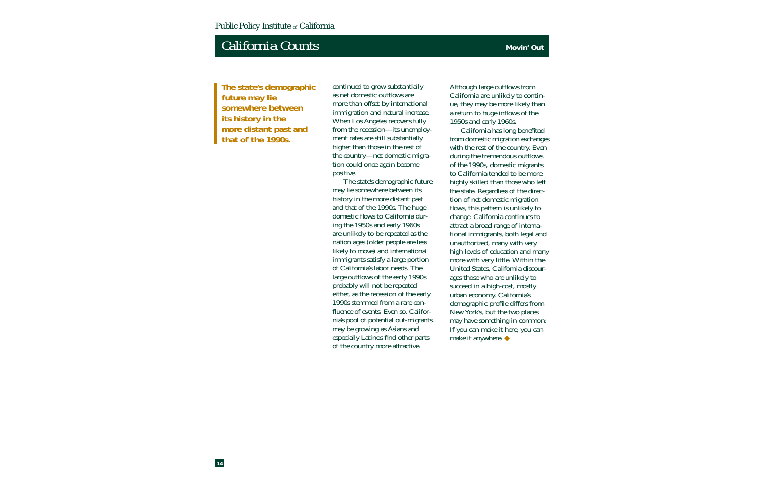**The state's demographic future may lie somewhere between its history in the more distant past and that of the 1990s.**

continued to grow substantially as net domestic outflows are more than offset by international immigration and natural increase. When Los Angeles recovers fully from the recession—its unemployment rates are still substantially higher than those in the rest of the country—net domestic migration could once again become positive.

The state's demographic future may lie somewhere between its history in the more distant past and that of the 1990s. The huge domestic flows to California during the 1950s and early 1960s are unlikely to be repeated as the nation ages (older people are less likely to move) and international immigrants satisfy a large portion of California's labor needs. The large outflows of the early 1990s probably will not be repeated either, as the recession of the early 1990s stemmed from a rare confluence of events. Even so, California's pool of potential out-migrants may be growing as Asians and especially Latinos find other parts of the country more attractive.

Although large outflows from California are unlikely to continue, they may be more likely than a return to huge inflows of the 1950s and early 1960s.

California has long benefited from domestic migration exchanges with the rest of the country. Even during the tremendous outflows of the 1990s, domestic migrants to California tended to be more highly skilled than those who left the state. Regardless of the direction of net domestic migration flows, this pattern is unlikely to change. California continues to attract a broad range of international immigrants, both legal and unauthorized, many with very high levels of education and many more with very little. Within the United States, California discourages those who are unlikely to succeed in a high-cost, mostly urban economy. California's demographic profile differs from New York's, but the two places may have something in common: If you can make it here, you can make it anywhere. ◆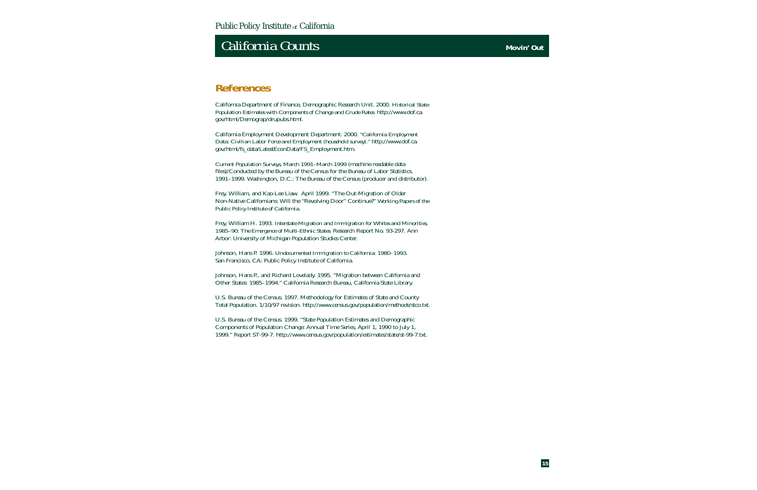# **California Counts Counts Counts Counts Movin' Out**

California Department of Finance, Demographic Research Unit. 2000. *Historical State Population Estimates with Components of Change and Crude Rates*. http://www.dof.ca. gov/html/Demograp/drupubs.html.

California Employment Development Department. 2000. *"California Employment Data: Civilian Labor Force and Employment (household survey)."* http://www.dof.ca. gov/html/fs\_data/LatestEconData/FS\_Employment.htm.

*Current Population Surveys, March 1991–March 1999* (machine readable data files)/Conducted by the Bureau of the Census for the Bureau of Labor Statistics. 1991–1999. Washington, D.C.: The Bureau of the Census (producer and distributor).

Frey, William, and Kao-Lee Liaw. April 1999. "The Out-Migration of Older Non-Native Californians: Will the "Revolving Door" Continue?" *Working Papers of the Public Policy Institute of California*.

Frey, William H. 1993. *Interstate Migration and Immigration for Whites and Minorities, 1985–90: The Emergence of Multi-Ethnic States*. Research Report No. 93-297. Ann Arbor: University of Michigan Population Studies Center.

Johnson, Hans P. 1996. *Undocumented Immigration to California: 1980–1993*. San Francisco, CA: Public Policy Institute of California.

Johnson, Hans P., and Richard Lovelady. 1995. "Migration between California and Other States: 1985–1994." California Research Bureau, California State Library.

U.S. Bureau of the Census. 1997. Methodology for Estimates of State and County Total Population. 1/10/97 revision. http://www.census.gov/population/methods/stco.txt.

U.S. Bureau of the Census. 1999. "State Population Estimates and Demographic Components of Population Change: Annual Time Series, April 1, 1990 to July 1, 1999." Report ST-99-7. http://www.census.gov/population/estimates/state/st-99-7.txt.